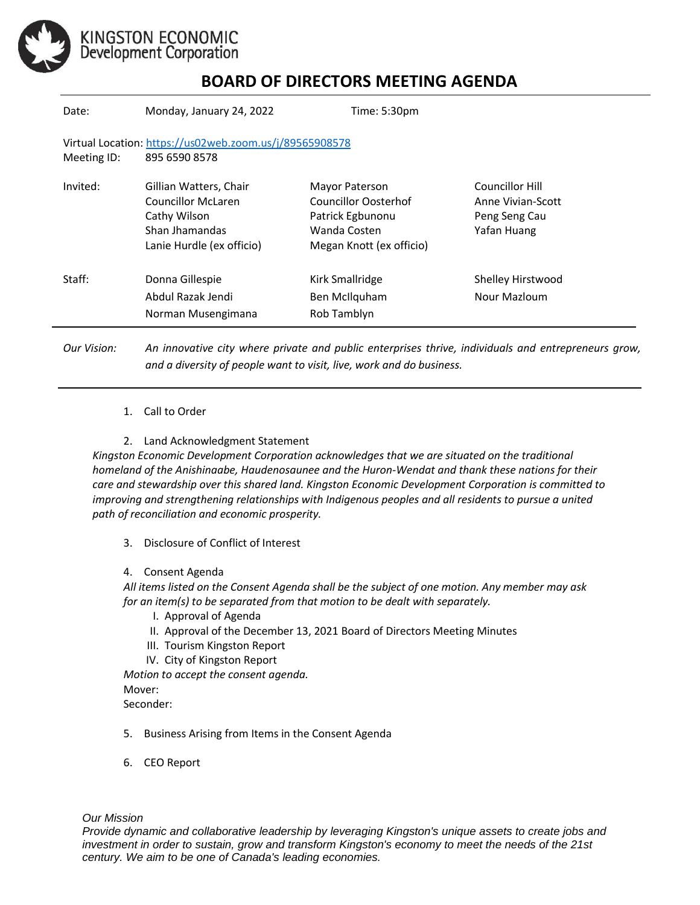

KINGSTON ECONOMIC<br>Development Corporation

## **BOARD OF DIRECTORS MEETING AGENDA**

| Date:                                                                                   | Monday, January 24, 2022                                                                                    | Time: 5:30pm                                                                                           |                                                                      |
|-----------------------------------------------------------------------------------------|-------------------------------------------------------------------------------------------------------------|--------------------------------------------------------------------------------------------------------|----------------------------------------------------------------------|
| Virtual Location: https://us02web.zoom.us/j/89565908578<br>895 6590 8578<br>Meeting ID: |                                                                                                             |                                                                                                        |                                                                      |
| Invited:                                                                                | Gillian Watters, Chair<br>Councillor McLaren<br>Cathy Wilson<br>Shan Ihamandas<br>Lanie Hurdle (ex officio) | Mayor Paterson<br>Councillor Oosterhof<br>Patrick Egbunonu<br>Wanda Costen<br>Megan Knott (ex officio) | Councillor Hill<br>Anne Vivian-Scott<br>Peng Seng Cau<br>Yafan Huang |
| Staff:                                                                                  | Donna Gillespie<br>Abdul Razak Jendi<br>Norman Musengimana                                                  | Kirk Smallridge<br>Ben McIlquham<br>Rob Tamblyn                                                        | Shelley Hirstwood<br>Nour Mazloum                                    |

*Our Vision: An innovative city where private and public enterprises thrive, individuals and entrepreneurs grow, and a diversity of people want to visit, live, work and do business.*

- 1. Call to Order
- 2. Land Acknowledgment Statement

*Kingston Economic Development Corporation acknowledges that we are situated on the traditional homeland of the Anishinaabe, Haudenosaunee and the Huron-Wendat and thank these nations for their care and stewardship over this shared land. Kingston Economic Development Corporation is committed to improving and strengthening relationships with Indigenous peoples and all residents to pursue a united path of reconciliation and economic prosperity.*

3. Disclosure of Conflict of Interest

## 4. Consent Agenda

*All items listed on the Consent Agenda shall be the subject of one motion. Any member may ask for an item(s) to be separated from that motion to be dealt with separately.*

- I. Approval of Agenda
- II. Approval of the December 13, 2021 Board of Directors Meeting Minutes
- III. Tourism Kingston Report
- IV. City of Kingston Report

*Motion to accept the consent agenda.*  Mover:

Seconder:

- 5. Business Arising from Items in the Consent Agenda
- 6. CEO Report

## *Our Mission*

*Provide dynamic and collaborative leadership by leveraging Kingston's unique assets to create jobs and investment in order to sustain, grow and transform Kingston's economy to meet the needs of the 21st century. We aim to be one of Canada's leading economies.*